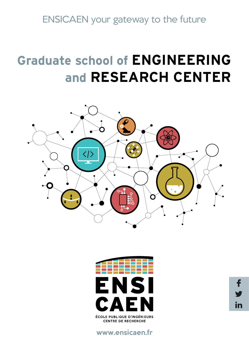ENSICAEN your gateway to the future

# **Graduate school of ENGINEERING and RESEARCH CENTER**





www.ensicaen.fr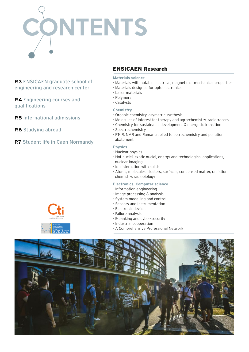

**P.3** ENSICAEN graduate school of engineering and research center

**P.4** Engineering courses and qualifications

**P.5** International admissions

**P.6** Studying abroad

**P.7** Student life in Caen Normandy

### ENSICAEN Research

**Materials science**

- Materials with notable electrical, magnetic or mechanical properties
- Materials designed for optoelectronics
- Laser materials
- Polymers
- Catalysts

### **Chemistry**

- Organic chemistry, asymetric synthesis
- Molecules of interest for therapy and agro-chemistry, radiotracers
- Chemistry for sustainable development & energetic transition
- Spectrochemistry
- FT-IR, NMR and Raman applied to petrochemistry and pollution abatement

### **Physics**

- Nuclear physics
- Hot nuclei, exotic nuclei, energy and technological applications, nuclear imaging
- Ion interaction with solids
- Atoms, molecules, clusters, surfaces, condensed matter, radiation chemistry, radiobiology

### **Electronics, Computer science**

- Information engineering
- Image processing & analysis
- System modelling and control
- Sensors and Instrumentation
- Electronic devices
- Failure analysis
- E-banking and cyber-security
- Industrial cooperation
- A Comprehensive Professional Network



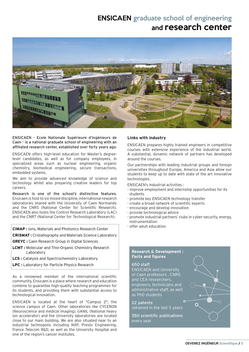### ENSICAEN graduate school of engineering and research center



ENSICAEN - Ecole Nationale Supérieure d'Ingénieurs de Caen - is a national graduate school of engineering with an affiliated research center, established over forty years ago.

ENSICAEN offers high-level education for Master's degreelevel candidates, as well as for company employees, in specialized areas such as nuclear engineering, organic chemistry, biomedical engineering, secure transactions, embedded systems.

We aim to provide advanced knowledge of science and technology whilst also preparing creative leaders for top careers.

Research is one of the school's distinctive features. Ensicaen is host to six mixed-discipline, international research laboratories shared with the University of Caen Normandy and the CNRS (National Center for Scientific Research). ENSICAEN also hosts the Control Research Laboratory (LAC) and the CNRT (National Center for Technological Research).

**CIMAP :** Ions, Materials and Photonics Research Center

**CRISMAT :** Cristallography and Materials Science Laboratory

**GREYC :** Caen Research Group in Digital Sciences

- **LCMT :** Molecular and Thio-Organic Chemistry Research Laboratory
- **LCS :** Catalysis and Spectrochemistry Laboratory
- **LPC :** Laboratory for Particle Physics Research

As a renowned member of the international scientific community, Ensicaen is a place where research and education combine to guarantee high-quality teaching programmes for its students, and providing them with substantial access to technological innovation.

ENSICAEN is located at the heart of "Campus 2", the science campus of Caen. Other laboratories like CYCERON (Neuroscience and medical imaging), GANIL (National heavy ion accelerator) and the University laboratories are located close to our main building. We are also situated near to an industrial technopolis including NXP, Presto Engineering, France Telecom R&D, as well as the University Hospital and one of the region's cancer institutes.

### **Links with industry**

ENSICAEN prepares highly trained engineers in competitive courses with extensive experience of the industrial world. A substantial, dynamic network of partners has developed around the courses.

Our partnerships with leading industrial groups and foreign universities throughout Europe, America and Asia allow our students to keep up to date with state of the art innovative technologies.

ENSICAEN's industrial activities :

- improve employment and internship opportunities for its students
- promote key ENSICAEN technology transfer
- create a broad network of scientific experts
- encourage and develop innovation
- provide technological advice
- promote industrial partners' clubs in cyber-security, energy, instrumentation
- offer adult education

### **Research & Development : Facts and figures**

#### 650 staff

ENSICAEN and University of Caen professors , CNRS and CEA researchers, engineers, technicians and administrative staff, as well as PhD students

22 patents obtained in the last 5 years

350 scientific publications every year

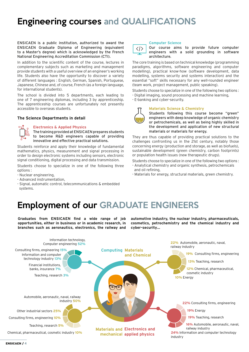# Engineering courses and QUALIFICATIONS

ENSICAEN is a public institution, authorized to award the ENSICAEN Graduate Diploma of Engineering (equivalent to a Master's degree) which is acknowledged by the French National Engineering Accreditation Commission (CTI).

In addition to the scientific content of the course, lectures in complementary subjects such as marketing and management provide students with a useful overview of an engineer's working life. Students also have the opportunity to discover a variety of different languages : English, German, Spanish, Portuguese, Japanese, Chinese and, of course, French (as a foreign language, for international students).

The school is divided into 5 departments, each leading to one of 7 engineering diplomas, including 3 by apprenticeship. The apprenticeship courses are unfortunately not presently accessible to overseas students.

### **The Science Departments in detail**

#### **Electronics & Applied Physics**

The training provided at ENSICAEN prepares students to become R&D engineers capable of providing innovative and effective practical solutions.

Students reinforce and apply their knowledge of fundamental mathematics, physics, measurement and signal processing in order to design electronic systems including sensors, electronic signal conditioning, digital processing and data transmission.

Students choose to specialize in one of the following three options :

- Nuclear engineering,
- Advanced instrumentation,
- Signal, automatic control, telecommunications & embedded systems.



#### **Computer Science**

Our course aims to provide future computer engineers with a solid grounding in software architecture.

The core training is based on technical knowledge (programming paradigms, algorithms, software engineering and computer modelling), practical know-how (software development, data modelling, systems security and systems interaction) and the essential "soft" skills necessary for any well-rounded engineer (team work, project management, public speaking).

Students choose to specialize in one of the following two options : - Digital imaging, sound processing and machine learning,

- E-banking and cyber-security.

#### **Materials Science & Chemistry**



Students following this course become "green" engineers with deep knowledge of organic chemistry or petrochemicals, as well as being highly skilled in the development and application of new structural materials or materials for energy.

They are thus capable of providing practical solutions to the challenges confronting us in the 21st century, notably those concerning energy (production and storage, as well as biofuels), sustainable development (green chemistry, carbon footprints) or population health issues (new therapeutic drugs).

- Students choose to specialize in one of the following two options : - Analytical chemistry and organic synthesis, petrochemicals
- and oil refining,
- Materials for energy, structural materials, green chemistry.

## Employment of our GRADUATE ENGINEERS

**Graduates from ENSICAEN find a wide range of job opportunities, either in business or in academic research, in branches such as aeronautics, electronics, the railway and** 

**automotive industry, the nuclear industry, pharmaceuticals, cosmetics, petrochemistry and the chemical industry and cyber-security…**

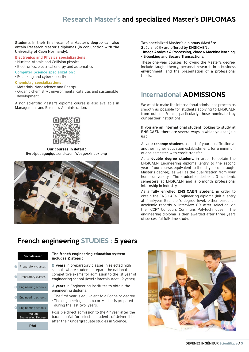### Research Master's and specialized Master's DIPLOMAS

#### Students in their final year of a Master's degree can also obtain Research Master's diplomas (in conjunction with the University of Caen Normandy).

- **Electronics and Physics specializations :** - Nuclear, Atomic and Collision physics - Electronics, electrical energy and automatics
- **Computer Science specialization :**
- E-banking and cyber-security

### **Chemistry specializations :**

- Materials, Nanoscience and Energy
- Organic chemistry ; environmental catalysis and sustainable development

A non-scientific Master's diploma course is also available in Management and Business Administration.



**Our courses in detail :** livretpedagogique.ensicaen.fr/pages/index.php



Two specialized Master's diplomas (Mastère Spécialisé®) are offered by ENSICAEN :

- Image Analysis & Processing, Video & Machine learning,

- E-banking and Secure Transactions.

These one-year courses, following the Master's degree, include taught theory, personal research in a business environment, and the presentation of a professional thesis.

### International ADMISSIONS

We want to make the international admissions process as smooth as possible for students applying to ENSICAEN from outside France, particularly those nominated by our partner institutions.

If you are an international student looking to study at ENSICAEN, there are several ways in which you can join us :

As an **exchange student**, as part of your qualification at another higher education establishment, for a minimum of one semester, with credit transfer.

As a **double degree student**, in order to obtain the ENSICAEN Engineering diploma (entry to the second year of our course, equivalent to the 1st year of a taught Master's degree), as well as the qualification from your home university. The student undertakes 3 academic semesters at ENSICAEN and a 6-month professional internship in industry.

As a **fully enrolled ENSICAEN student**, in order to obtain the ENSICAEN Engineering diploma (initial entry at final-year Bachelor's degree level, either based on academic records & interview OR after selection via the "CCP" Concours Communs Polytechniques). The engineering diploma is then awarded after three years of successful full-time study.

### French engineering STUDIES : 5 years

|   | <b>Baccalauréat</b>                   |
|---|---------------------------------------|
|   | Preparatory classes                   |
| Θ | Preparatory classes                   |
|   | <b>Engineering schools</b>            |
| ø | <b>Engineering schools</b>            |
| Б | <b>Engineering schools</b>            |
|   | Graduate<br><b>Engineering Degree</b> |
|   |                                       |

### **The french engineering education system includes 2 steps :**

2 **years** in preparatory classes in selected high schools where students prepare the national competitive exams for admission to the 1st year of engineering school (level : Baccalaureat +2 years).

3 **years** in Engineering institutes to obtain the engineering diploma.

- The first year is equivalent to a Bachelor degree. - The engineering diploma or Master is prepared during the last two years.

Possible direct admission to the 4th year after the baccalauréat for selected students of Universities after their undergraduate studies in Science.

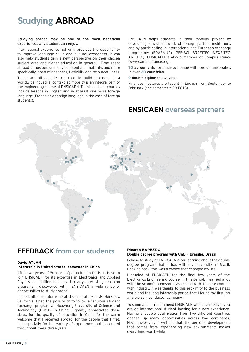# Studying ABROAD

### Studying abroad may be one of the most beneficial experiences any student can enjoy.

International experience not only provides the opportunity to improve language skills and cultural awareness, it can also help students gain a new perspective on their chosen subject area and higher education in general. Time spent abroad brings personal development and maturity, and more specifically, open-mindedness, flexibility and resourcefulness.

These are all qualities required to build a career in a worldwide industrial context, so mobility is an integral part of the engineering course at ENSICAEN. To this end, our courses include lessons in English and in at least one more foreign language (French as a foreign language in the case of foreign students).

ENSICAEN helps students in their mobility project by developing a wide network of foreign partner institutions and by participating in International and European exchange programmes (ERASMUS+, PEE-BCI, BRAFITEC, MEXFITEC, ARFITEC). ENSICAEN is also a member of Campus France (www.campusfrance.org).

**70 agreements** for study exchange with foreign universities in over **20 countries.**

**9 double diplomas** available.

Final year lectures are taught in English from September to February (one semester = 30 ECTS).

### ENSICAEN overseas partners



### FEEDBACK from our students

#### **David ATLAN Internship in United States, semester in China**

After two years of "classe préparatoire" in Paris, I chose to join ENSICAEN for its expertise in Electronics and Applied Physics. In addition to its particularly interesting teaching programs, I discovered within ENSICAEN a wide range of opportunities to study abroad.

Indeed, after an internship at the laboratory in UC Berkeley, California, I had the possibility to follow a fabulous student exchange program at Huazhong University of Science and Technology (HUST), in China. I greatly appreciated these stays, for the quality of education in Caen, for the warm welcome that I received abroad, for the people that I met, but especially for the variety of experience that I acquired throughout these three years.

### **Ricardo BARBEDO**

### **Double degree program with UnB – Brasilia, Brazil**

I chose to study at ENSICAEN after learning about the double degree program that it has with my university in Brazil. Looking back, this was a choice that changed my life.

I studied at ENSICAEN for the final two years of the Electronics Engineering course. In this period, I learned a lot with the school's hands-on classes and with its close contact with industry. It was thanks to this proximity to the business world and the long internship period that I found my first job at a big semiconductor company.

To summarize, I recommend ENSICAEN wholeheartedly if you are an international student looking for a new experience. Having a double qualification from two different countries opened up many opportunities across two continents. Nevertheless, even without that, the personal development that comes from experiencing new environments makes everything worthwhile.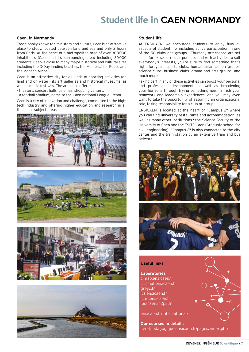# Student life in CAEN NORMANDY

### **Caen, in Normandy**

Traditionally known for its history and culture, Caen is an attractive place to study, located between land and sea and only 2 hours from Paris. At the heart of a metropolitan area of over 300000 inhabitants (Caen and its surrounding area) including 30000 students, Caen is close to many major historical and cultural sites including the D-Day landing beaches, the Memorial for Peace and the Mont-St-Michel.

Caen is an attractive city for all kinds of sporting activities (on land and on water), its art galleries and historical museums, as well as music festivals. The area also offers :

- theaters, concert halls, cinemas, shopping centers,
- a football stadium, home to the Caen national League 1 team.

Caen is a city of innovation and challenge, committed to the hightech industry and offering higher education and research in all the major subject areas.









### **Student life**

At ENSICAEN, we encourage students to enjoy fully all aspects of student life, including active participation in one of the 50 clubs and groups. Thursday afternoons are set aside for extra-curricular pursuits, and with activities to suit everybody's interests, you're sure to find something that's right for you : sports clubs, humanitarian action groups, science clubs, business clubs, drama and arts groups, and much more.

Taking part in any of these activities can boost your personal and professional development, as well as broadening your horizons through trying something new. Enrich your teamwork and leadership experiences, and you may even want to take the opportunity of assuming an organizational role, taking responsibility for a club or group.

ENSICAEN is located at the heart of "Campus 2" where you can find university restaurants and accommodation, as well as many other institutions : the Science Faculty of the University of Caen and the ESITC Caen (Graduate school for civil engineering). "Campus 2" is also connected to the city center and the train station by an extensive tram and bus network.



### **Useful links**

### **Laboratories**

cimap.ensicaen.fr crismat.ensicaen.fr greyc.fr lcs.ensicaen.fr lcmt.ensicaen.fr lpc-caen.in2p3.fr

ensicaen.fr/international/

**Our courses in detail :** livretpedagogique.ensicaen.fr/pages/index.php